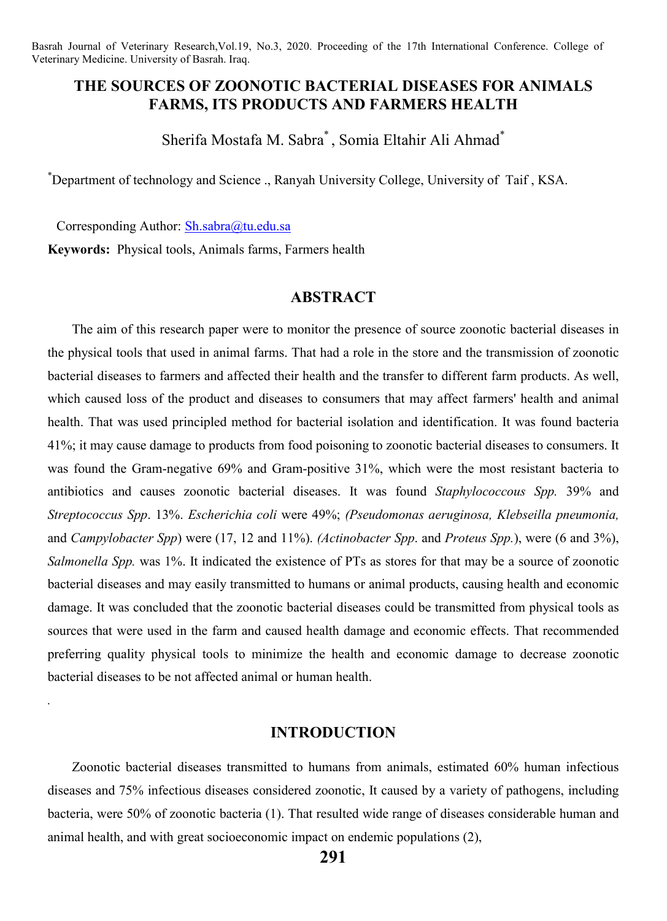# **THE SOURCES OF ZOONOTIC BACTERIAL DISEASES FOR ANIMALS FARMS, ITS PRODUCTS AND FARMERS HEALTH**

Sherifa Mostafa M. Sabra\* , Somia Eltahir Ali Ahmad\*

\* Department of technology and Science ., Ranyah University College, University of Taif , KSA.

 Corresponding Author: Sh.sabra@tu.edu.sa **Keywords:** Physical tools, Animals farms, Farmers health

*.*

### **ABSTRACT**

The aim of this research paper were to monitor the presence of source zoonotic bacterial diseases in the physical tools that used in animal farms. That had a role in the store and the transmission of zoonotic bacterial diseases to farmers and affected their health and the transfer to different farm products. As well, which caused loss of the product and diseases to consumers that may affect farmers' health and animal health. That was used principled method for bacterial isolation and identification. It was found bacteria 41%; it may cause damage to products from food poisoning to zoonotic bacterial diseases to consumers. It was found the Gram-negative 69% and Gram-positive 31%, which were the most resistant bacteria to antibiotics and causes zoonotic bacterial diseases. It was found *Staphylococcous Spp.* 39% and *Streptococcus Spp*. 13%. *Escherichia coli* were 49%; *(Pseudomonas aeruginosa, Klebseilla pneumonia,*  and *Campylobacter Spp*) were (17, 12 and 11%). *(Actinobacter Spp*. and *Proteus Spp.*), were (6 and 3%), *Salmonella Spp.* was 1%. It indicated the existence of PTs as stores for that may be a source of zoonotic bacterial diseases and may easily transmitted to humans or animal products, causing health and economic damage. It was concluded that the zoonotic bacterial diseases could be transmitted from physical tools as sources that were used in the farm and caused health damage and economic effects. That recommended preferring quality physical tools to minimize the health and economic damage to decrease zoonotic bacterial diseases to be not affected animal or human health.

## **INTRODUCTION**

Zoonotic bacterial diseases transmitted to humans from animals, estimated 60% human infectious diseases and 75% infectious diseases considered zoonotic, It caused by a variety of pathogens, including bacteria, were 50% of zoonotic bacteria (1). That resulted wide range of diseases considerable human and animal health, and with great socioeconomic impact on endemic populations (2),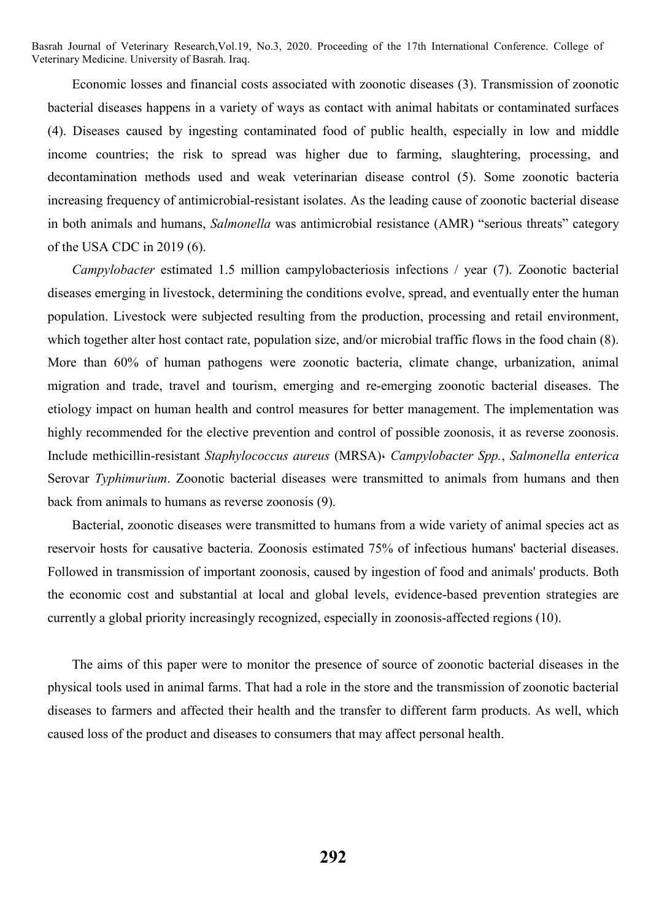Economic losses and financial costs associated with zoonotic diseases (3). Transmission of zoonotic bacterial diseases happens in a variety of ways as contact with animal habitats or contaminated surfaces (4). Diseases caused by ingesting contaminated food of public health, especially in low and middle income countries; the risk to spread was higher due to farming, slaughtering, processing, and decontamination methods used and weak veterinarian disease control (5). Some zoonotic bacteria increasing frequency of antimicrobial-resistant isolates. As the leading cause of zoonotic bacterial disease in both animals and humans, *Salmonella* was antimicrobial resistance (AMR) "serious threats" category of the USA CDC in 2019 (6).

*Campylobacter* estimated 1.5 million campylobacteriosis infections / year (7). Zoonotic bacterial diseases emerging in livestock, determining the conditions evolve, spread, and eventually enter the human population. Livestock were subjected resulting from the production, processing and retail environment, which together alter host contact rate, population size, and/or microbial traffic flows in the food chain  $(8)$ . More than 60% of human pathogens were zoonotic bacteria, climate change, urbanization, animal migration and trade, travel and tourism, emerging and re-emerging zoonotic bacterial diseases. The etiology impact on human health and control measures for better management. The implementation was highly recommended for the elective prevention and control of possible zoonosis, it as reverse zoonosis. Include methicillin-resistant *Staphylococcus aureus* (MRSA)، *Campylobacter Spp.*, *Salmonella enterica* Serovar *Typhimurium*. Zoonotic bacterial diseases were transmitted to animals from humans and then back from animals to humans as reverse zoonosis (9).

Bacterial, zoonotic diseases were transmitted to humans from a wide variety of animal species act as reservoir hosts for causative bacteria. Zoonosis estimated 75% of infectious humans' bacterial diseases. Followed in transmission of important zoonosis, caused by ingestion of food and animals' products. Both the economic cost and substantial at local and global levels, evidence-based prevention strategies are currently a global priority increasingly recognized, especially in zoonosis-affected regions (10).

The aims of this paper were to monitor the presence of source of zoonotic bacterial diseases in the physical tools used in animal farms. That had a role in the store and the transmission of zoonotic bacterial diseases to farmers and affected their health and the transfer to different farm products. As well, which caused loss of the product and diseases to consumers that may affect personal health.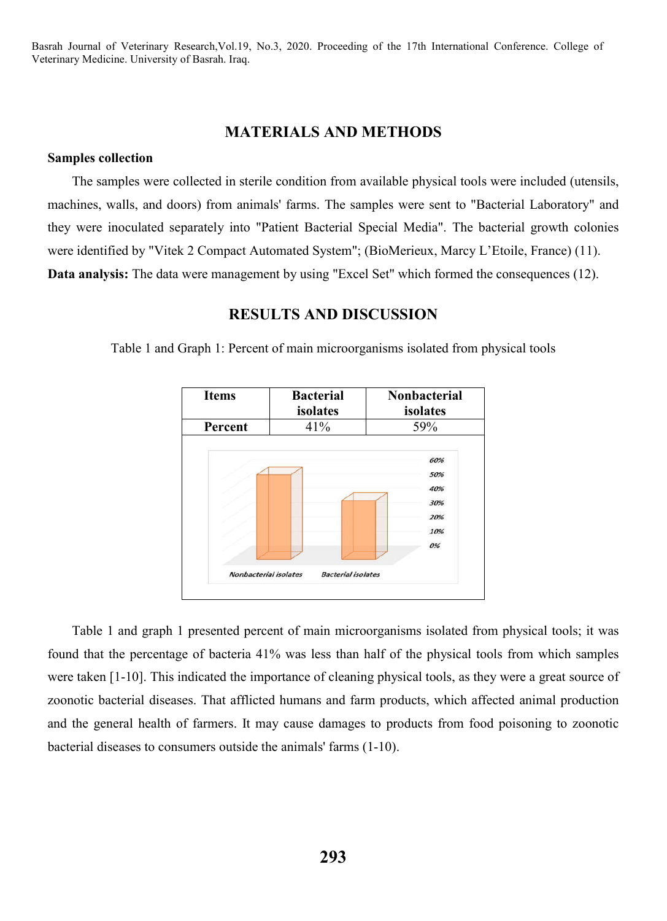## **MATERIALS AND METHODS**

#### **Samples collection**

The samples were collected in sterile condition from available physical tools were included (utensils, machines, walls, and doors) from animals' farms. The samples were sent to "Bacterial Laboratory" and they were inoculated separately into "Patient Bacterial Special Media". The bacterial growth colonies were identified by "Vitek 2 Compact Automated System"; (BioMerieux, Marcy L'Etoile, France) (11). **Data analysis:** The data were management by using "Excel Set" which formed the consequences (12).

### **RESULTS AND DISCUSSION**

Table 1 and Graph 1: Percent of main microorganisms isolated from physical tools



Table 1 and graph 1 presented percent of main microorganisms isolated from physical tools; it was found that the percentage of bacteria 41% was less than half of the physical tools from which samples were taken [1-10]. This indicated the importance of cleaning physical tools, as they were a great source of zoonotic bacterial diseases. That afflicted humans and farm products, which affected animal production and the general health of farmers. It may cause damages to products from food poisoning to zoonotic bacterial diseases to consumers outside the animals' farms (1-10).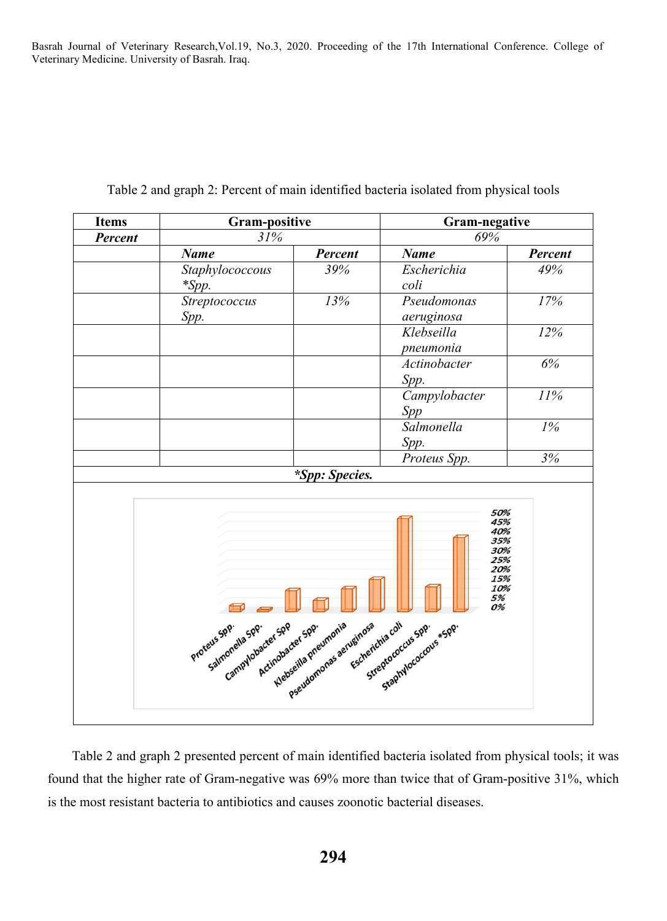| <b>Items</b>                                                                                                                                                                                                                                                                    | <b>Gram-positive</b> |         | <b>Gram-negative</b> |         |
|---------------------------------------------------------------------------------------------------------------------------------------------------------------------------------------------------------------------------------------------------------------------------------|----------------------|---------|----------------------|---------|
| Percent                                                                                                                                                                                                                                                                         | 31%                  |         | 69%                  |         |
|                                                                                                                                                                                                                                                                                 | <b>Name</b>          | Percent | <b>Name</b>          | Percent |
|                                                                                                                                                                                                                                                                                 | Staphylococcous      | 39%     | Escherichia          | 49%     |
|                                                                                                                                                                                                                                                                                 | $*Spp.$              |         | coli                 |         |
|                                                                                                                                                                                                                                                                                 | Streptococcus        | 13%     | Pseudomonas          | $17\%$  |
|                                                                                                                                                                                                                                                                                 | Spp.                 |         | aeruginosa           |         |
|                                                                                                                                                                                                                                                                                 |                      |         | Klebseilla           | 12%     |
|                                                                                                                                                                                                                                                                                 |                      |         | pneumonia            |         |
|                                                                                                                                                                                                                                                                                 |                      |         | Actinobacter         | 6%      |
|                                                                                                                                                                                                                                                                                 |                      |         | Spp.                 |         |
|                                                                                                                                                                                                                                                                                 |                      |         | Campylobacter        | 11%     |
|                                                                                                                                                                                                                                                                                 |                      |         | Spp                  |         |
|                                                                                                                                                                                                                                                                                 |                      |         | Salmonella           | $1\%$   |
|                                                                                                                                                                                                                                                                                 |                      |         | Spp.                 |         |
|                                                                                                                                                                                                                                                                                 |                      |         | Proteus Spp.         | 3%      |
| <i>*Spp: Species.</i>                                                                                                                                                                                                                                                           |                      |         |                      |         |
| 50%<br>45%<br>40%<br>35%<br>30%<br>25%<br>20%<br>15%<br>10%<br>5%<br>0%<br>₩<br>Escherichia coll<br>Klebseilla pheumonia<br>Pseudomonas aeruginosa<br>Campylobacter Spp<br>Salmonella Spp.<br>Actinobacter Spp.<br>Staphylococcous + Spp.<br>Proteus Spp.<br>Streptococcus Spp. |                      |         |                      |         |

Table 2 and graph 2: Percent of main identified bacteria isolated from physical tools

Table 2 and graph 2 presented percent of main identified bacteria isolated from physical tools; it was found that the higher rate of Gram-negative was 69% more than twice that of Gram-positive 31%, which is the most resistant bacteria to antibiotics and causes zoonotic bacterial diseases.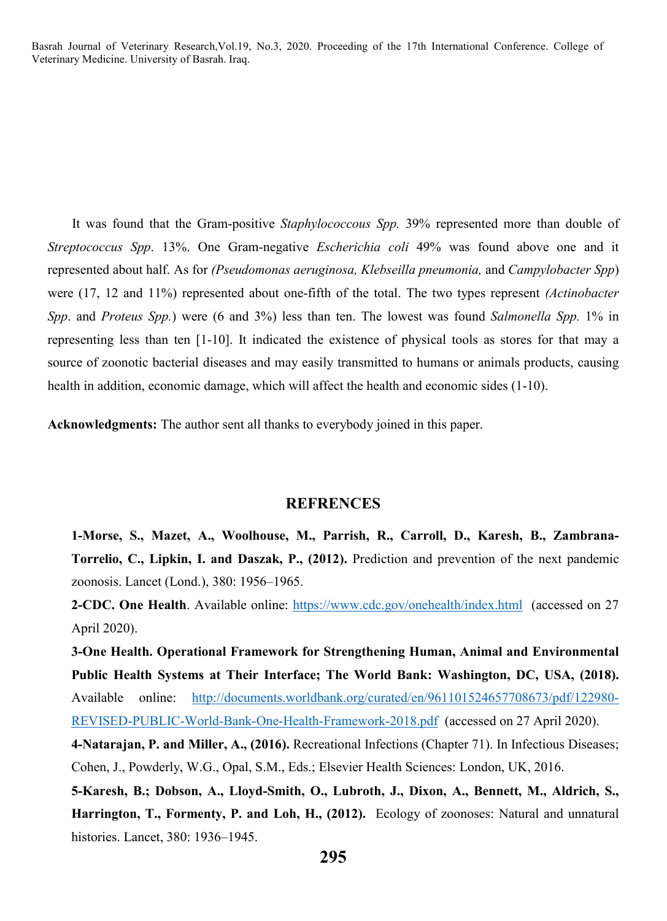It was found that the Gram-positive *Staphylococcous Spp.* 39% represented more than double of *Streptococcus Spp*. 13%. One Gram-negative *Escherichia coli* 49% was found above one and it represented about half. As for *(Pseudomonas aeruginosa, Klebseilla pneumonia,* and *Campylobacter Spp*) were (17, 12 and 11%) represented about one-fifth of the total. The two types represent *(Actinobacter Spp*. and *Proteus Spp.*) were (6 and 3%) less than ten. The lowest was found *Salmonella Spp.* 1% in representing less than ten [1-10]. It indicated the existence of physical tools as stores for that may a source of zoonotic bacterial diseases and may easily transmitted to humans or animals products, causing health in addition, economic damage, which will affect the health and economic sides (1-10).

**Acknowledgments:** The author sent all thanks to everybody joined in this paper.

#### **REFRENCES**

**1-Morse, S., Mazet, A., Woolhouse, M., Parrish, R., Carroll, D., Karesh, B., Zambrana-Torrelio, C., Lipkin, I. and Daszak, P., (2012).** Prediction and prevention of the next pandemic zoonosis. Lancet (Lond.), 380: 1956–1965.

**2-CDC. One Health**. Available online: https://www.cdc.gov/onehealth/index.html (accessed on 27 April 2020).

**3-One Health. Operational Framework for Strengthening Human, Animal and Environmental Public Health Systems at Their Interface; The World Bank: Washington, DC, USA, (2018).** Available online: http://documents.worldbank.org/curated/en/961101524657708673/pdf/122980- REVISED-PUBLIC-World-Bank-One-Health-Framework-2018.pdf (accessed on 27 April 2020). **4-Natarajan, P. and Miller, A., (2016).** Recreational Infections (Chapter 71). In Infectious Diseases; Cohen, J., Powderly, W.G., Opal, S.M., Eds.; Elsevier Health Sciences: London, UK, 2016.

**5-Karesh, B.; Dobson, A., Lloyd-Smith, O., Lubroth, J., Dixon, A., Bennett, M., Aldrich, S., Harrington, T., Formenty, P. and Loh, H., (2012).** Ecology of zoonoses: Natural and unnatural histories. Lancet, 380: 1936–1945.